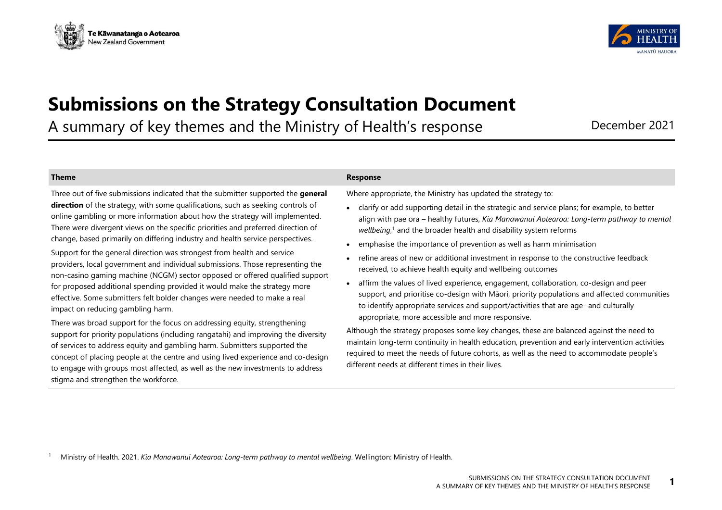



# **Submissions on the Strategy Consultation Document**

A summary of key themes and the Ministry of Health's response December 2021

Three out of five submissions indicated that the submitter supported the **general direction** of the strategy, with some qualifications, such as seeking controls of online gambling or more information about how the strategy will implemented. There were divergent views on the specific priorities and preferred direction of change, based primarily on differing industry and health service perspectives.

Support for the general direction was strongest from health and service providers, local government and individual submissions. Those representing the non-casino gaming machine (NCGM) sector opposed or offered qualified support for proposed additional spending provided it would make the strategy more effective. Some submitters felt bolder changes were needed to make a real impact on reducing gambling harm.

There was broad support for the focus on addressing equity, strengthening support for priority populations (including rangatahi) and improving the diversity of services to address equity and gambling harm. Submitters supported the concept of placing people at the centre and using lived experience and co-design to engage with groups most affected, as well as the new investments to address stigma and strengthen the workforce.

# **Theme Response**

Where appropriate, the Ministry has updated the strategy to:

- clarify or add supporting detail in the strategic and service plans; for example, to better align with pae ora – healthy futures, *Kia Manawanui Aotearoa: Long-term pathway to mental wellbeing*, <sup>1</sup> and the broader health and disability system reforms
- emphasise the importance of prevention as well as harm minimisation
- refine areas of new or additional investment in response to the constructive feedback received, to achieve health equity and wellbeing outcomes
- affirm the values of lived experience, engagement, collaboration, co-design and peer support, and prioritise co-design with Māori, priority populations and affected communities to identify appropriate services and support/activities that are age- and culturally appropriate, more accessible and more responsive.

Although the strategy proposes some key changes, these are balanced against the need to maintain long-term continuity in health education, prevention and early intervention activities required to meet the needs of future cohorts, as well as the need to accommodate people's different needs at different times in their lives.

<sup>1</sup> Ministry of Health. 2021. *Kia Manawanui Aotearoa: Long-term pathway to mental wellbeing*. Wellington: Ministry of Health.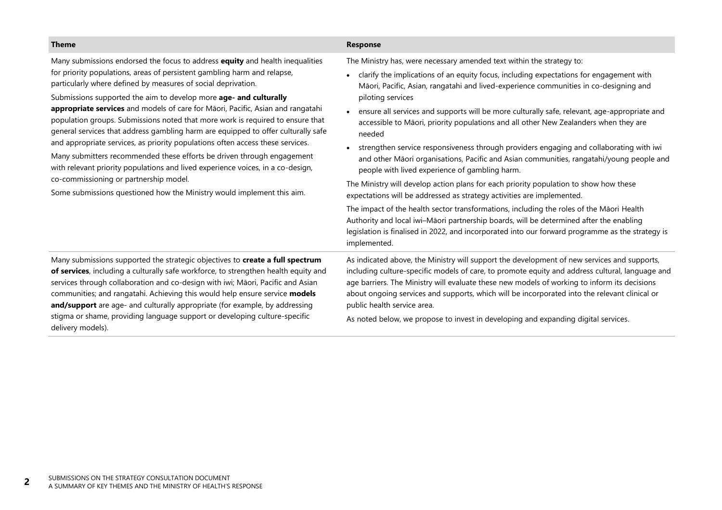| <b>Theme</b>                                                                                                                                                                                                                                                                                                                                                                                                                                                                                                                                                                                                                                                                                                                                                                                                                                                                                                                 | <b>Response</b>                                                                                                                                                                                                                                                                                                                                                                                                                                                                                                                                                                                                                                                                                                                                                                                                                                                                                                                                                                                                                                                                                                                                                                                         |
|------------------------------------------------------------------------------------------------------------------------------------------------------------------------------------------------------------------------------------------------------------------------------------------------------------------------------------------------------------------------------------------------------------------------------------------------------------------------------------------------------------------------------------------------------------------------------------------------------------------------------------------------------------------------------------------------------------------------------------------------------------------------------------------------------------------------------------------------------------------------------------------------------------------------------|---------------------------------------------------------------------------------------------------------------------------------------------------------------------------------------------------------------------------------------------------------------------------------------------------------------------------------------------------------------------------------------------------------------------------------------------------------------------------------------------------------------------------------------------------------------------------------------------------------------------------------------------------------------------------------------------------------------------------------------------------------------------------------------------------------------------------------------------------------------------------------------------------------------------------------------------------------------------------------------------------------------------------------------------------------------------------------------------------------------------------------------------------------------------------------------------------------|
| Many submissions endorsed the focus to address equity and health inequalities<br>for priority populations, areas of persistent gambling harm and relapse,<br>particularly where defined by measures of social deprivation.<br>Submissions supported the aim to develop more age- and culturally<br>appropriate services and models of care for Māori, Pacific, Asian and rangatahi<br>population groups. Submissions noted that more work is required to ensure that<br>general services that address gambling harm are equipped to offer culturally safe<br>and appropriate services, as priority populations often access these services.<br>Many submitters recommended these efforts be driven through engagement<br>with relevant priority populations and lived experience voices, in a co-design,<br>co-commissioning or partnership model.<br>Some submissions questioned how the Ministry would implement this aim. | The Ministry has, were necessary amended text within the strategy to:<br>clarify the implications of an equity focus, including expectations for engagement with<br>Māori, Pacific, Asian, rangatahi and lived-experience communities in co-designing and<br>piloting services<br>ensure all services and supports will be more culturally safe, relevant, age-appropriate and<br>accessible to Māori, priority populations and all other New Zealanders when they are<br>needed<br>strengthen service responsiveness through providers engaging and collaborating with iwi<br>and other Māori organisations, Pacific and Asian communities, rangatahi/young people and<br>people with lived experience of gambling harm.<br>The Ministry will develop action plans for each priority population to show how these<br>expectations will be addressed as strategy activities are implemented.<br>The impact of the health sector transformations, including the roles of the Māori Health<br>Authority and local iwi-Māori partnership boards, will be determined after the enabling<br>legislation is finalised in 2022, and incorporated into our forward programme as the strategy is<br>implemented. |
| Many submissions supported the strategic objectives to create a full spectrum<br>of services, including a culturally safe workforce, to strengthen health equity and<br>services through collaboration and co-design with iwi; Māori, Pacific and Asian<br>communities; and rangatahi. Achieving this would help ensure service models<br>and/support are age- and culturally appropriate (for example, by addressing<br>stigma or shame, providing language support or developing culture-specific<br>delivery models).                                                                                                                                                                                                                                                                                                                                                                                                     | As indicated above, the Ministry will support the development of new services and supports,<br>including culture-specific models of care, to promote equity and address cultural, language and<br>age barriers. The Ministry will evaluate these new models of working to inform its decisions<br>about ongoing services and supports, which will be incorporated into the relevant clinical or<br>public health service area.<br>As noted below, we propose to invest in developing and expanding digital services.                                                                                                                                                                                                                                                                                                                                                                                                                                                                                                                                                                                                                                                                                    |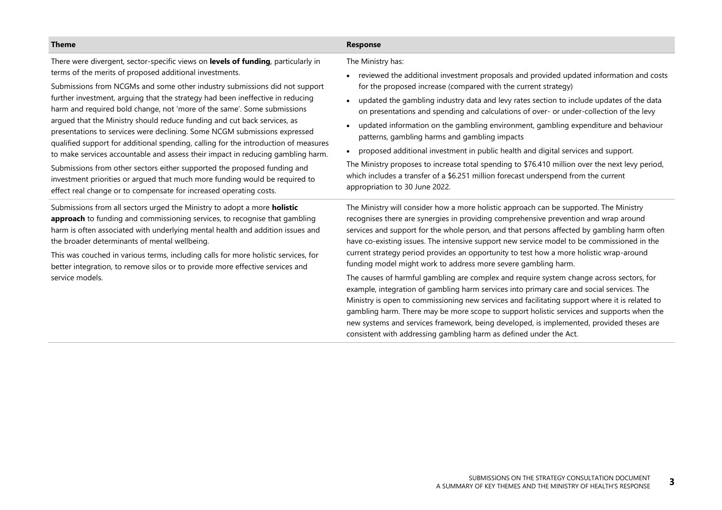There were divergent, sector-specific views on **levels of funding**, particularly in terms of the merits of proposed additional investments.

Submissions from NCGMs and some other industry submissions did not support further investment, arguing that the strategy had been ineffective in reducing harm and required bold change, not 'more of the same'. Some submissions argued that the Ministry should reduce funding and cut back services, as presentations to services were declining. Some NCGM submissions expressed qualified support for additional spending, calling for the introduction of measures to make services accountable and assess their impact in reducing gambling harm.

Submissions from other sectors either supported the proposed funding and investment priorities or argued that much more funding would be required to effect real change or to compensate for increased operating costs.

Submissions from all sectors urged the Ministry to adopt a more **holistic approach** to funding and commissioning services, to recognise that gambling harm is often associated with underlying mental health and addition issues and the broader determinants of mental wellbeing.

This was couched in various terms, including calls for more holistic services, for better integration, to remove silos or to provide more effective services and service models.

The Ministry has:

- reviewed the additional investment proposals and provided updated information and costs for the proposed increase (compared with the current strategy)
- updated the gambling industry data and levy rates section to include updates of the data on presentations and spending and calculations of over- or under-collection of the levy
- updated information on the gambling environment, gambling expenditure and behaviour patterns, gambling harms and gambling impacts
- proposed additional investment in public health and digital services and support.

The Ministry proposes to increase total spending to \$76.410 million over the next levy period, which includes a transfer of a \$6.251 million forecast underspend from the current appropriation to 30 June 2022.

The Ministry will consider how a more holistic approach can be supported. The Ministry recognises there are synergies in providing comprehensive prevention and wrap around services and support for the whole person, and that persons affected by gambling harm often have co-existing issues. The intensive support new service model to be commissioned in the current strategy period provides an opportunity to test how a more holistic wrap-around funding model might work to address more severe gambling harm.

The causes of harmful gambling are complex and require system change across sectors, for example, integration of gambling harm services into primary care and social services. The Ministry is open to commissioning new services and facilitating support where it is related to gambling harm. There may be more scope to support holistic services and supports when the new systems and services framework, being developed, is implemented, provided theses are consistent with addressing gambling harm as defined under the Act.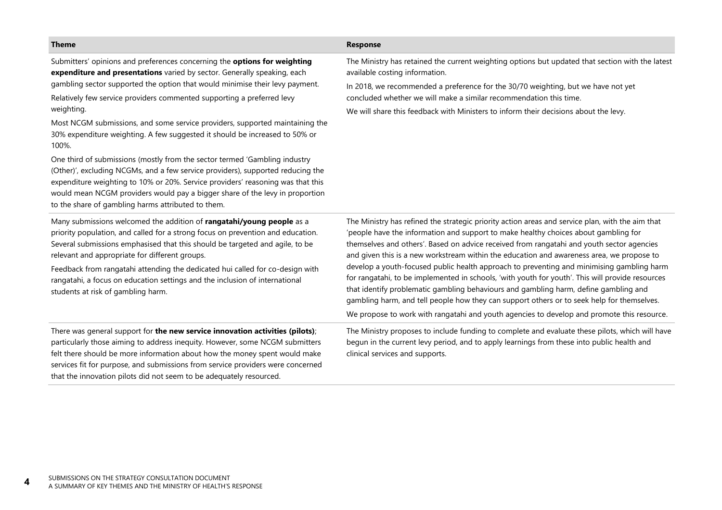Submitters' opinions and preferences concerning the **options for weighting expenditure and presentations** varied by sector. Generally speaking, each gambling sector supported the option that would minimise their levy payment.

Relatively few service providers commented supporting a preferred levy weighting.

Most NCGM submissions, and some service providers, supported maintaining the 30% expenditure weighting. A few suggested it should be increased to 50% or 100%.

One third of submissions (mostly from the sector termed 'Gambling industry (Other)', excluding NCGMs, and a few service providers), supported reducing the expenditure weighting to 10% or 20%. Service providers' reasoning was that this would mean NCGM providers would pay a bigger share of the levy in proportion to the share of gambling harms attributed to them.

Many submissions welcomed the addition of **rangatahi/young people** as a priority population, and called for a strong focus on prevention and education. Several submissions emphasised that this should be targeted and agile, to be relevant and appropriate for different groups.

Feedback from rangatahi attending the dedicated hui called for co-design with rangatahi, a focus on education settings and the inclusion of international students at risk of gambling harm.

There was general support for **the new service innovation activities (pilots)**; particularly those aiming to address inequity. However, some NCGM submitters felt there should be more information about how the money spent would make services fit for purpose, and submissions from service providers were concerned that the innovation pilots did not seem to be adequately resourced.

The Ministry has retained the current weighting options but updated that section with the latest available costing information.

In 2018, we recommended a preference for the 30/70 weighting, but we have not yet concluded whether we will make a similar recommendation this time.

We will share this feedback with Ministers to inform their decisions about the levy.

| The Ministry has refined the strategic priority action areas and service plan, with the aim that |
|--------------------------------------------------------------------------------------------------|
| 'people have the information and support to make healthy choices about gambling for              |
| themselves and others'. Based on advice received from rangatahi and youth sector agencies        |
| and given this is a new workstream within the education and awareness area, we propose to        |
| develop a youth-focused public health approach to preventing and minimising gambling harm        |
| for rangatahi, to be implemented in schools, 'with youth for youth'. This will provide resources |
| that identify problematic gambling behaviours and gambling harm, define gambling and             |
| gambling harm, and tell people how they can support others or to seek help for themselves.       |
| We propose to work with rangatahi and youth agencies to develop and promote this resource.       |

The Ministry proposes to include funding to complete and evaluate these pilots, which will have begun in the current levy period, and to apply learnings from these into public health and clinical services and supports.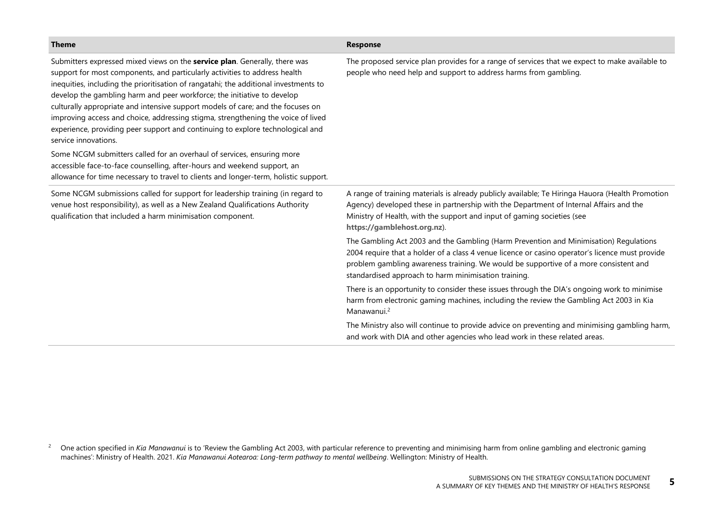| <b>Theme</b>                                                                                                                                                                                                                                                                                                                                                                                                                                                                                                                                                                                                 | <b>Response</b>                                                                                                                                                                                                                                                                                                                          |
|--------------------------------------------------------------------------------------------------------------------------------------------------------------------------------------------------------------------------------------------------------------------------------------------------------------------------------------------------------------------------------------------------------------------------------------------------------------------------------------------------------------------------------------------------------------------------------------------------------------|------------------------------------------------------------------------------------------------------------------------------------------------------------------------------------------------------------------------------------------------------------------------------------------------------------------------------------------|
| Submitters expressed mixed views on the service plan. Generally, there was<br>support for most components, and particularly activities to address health<br>inequities, including the prioritisation of rangatahi; the additional investments to<br>develop the gambling harm and peer workforce; the initiative to develop<br>culturally appropriate and intensive support models of care; and the focuses on<br>improving access and choice, addressing stigma, strengthening the voice of lived<br>experience, providing peer support and continuing to explore technological and<br>service innovations. | The proposed service plan provides for a range of services that we expect to make available to<br>people who need help and support to address harms from gambling.                                                                                                                                                                       |
| Some NCGM submitters called for an overhaul of services, ensuring more<br>accessible face-to-face counselling, after-hours and weekend support, an<br>allowance for time necessary to travel to clients and longer-term, holistic support.                                                                                                                                                                                                                                                                                                                                                                   |                                                                                                                                                                                                                                                                                                                                          |
| Some NCGM submissions called for support for leadership training (in regard to<br>venue host responsibility), as well as a New Zealand Qualifications Authority<br>qualification that included a harm minimisation component.                                                                                                                                                                                                                                                                                                                                                                                | A range of training materials is already publicly available; Te Hiringa Hauora (Health Promotion<br>Agency) developed these in partnership with the Department of Internal Affairs and the<br>Ministry of Health, with the support and input of gaming societies (see<br>https://gamblehost.org.nz).                                     |
|                                                                                                                                                                                                                                                                                                                                                                                                                                                                                                                                                                                                              | The Gambling Act 2003 and the Gambling (Harm Prevention and Minimisation) Regulations<br>2004 require that a holder of a class 4 venue licence or casino operator's licence must provide<br>problem gambling awareness training. We would be supportive of a more consistent and<br>standardised approach to harm minimisation training. |
|                                                                                                                                                                                                                                                                                                                                                                                                                                                                                                                                                                                                              | There is an opportunity to consider these issues through the DIA's ongoing work to minimise<br>harm from electronic gaming machines, including the review the Gambling Act 2003 in Kia<br>Manawanui. <sup>2</sup>                                                                                                                        |
|                                                                                                                                                                                                                                                                                                                                                                                                                                                                                                                                                                                                              | The Ministry also will continue to provide advice on preventing and minimising gambling harm,<br>and work with DIA and other agencies who lead work in these related areas.                                                                                                                                                              |

<sup>&</sup>lt;sup>2</sup> One action specified in *Kia Manawanui* is to 'Review the Gambling Act 2003, with particular reference to preventing and minimising harm from online gambling and electronic gaming machines': Ministry of Health. 2021. *Kia Manawanui Aotearoa: Long-term pathway to mental wellbeing*. Wellington: Ministry of Health.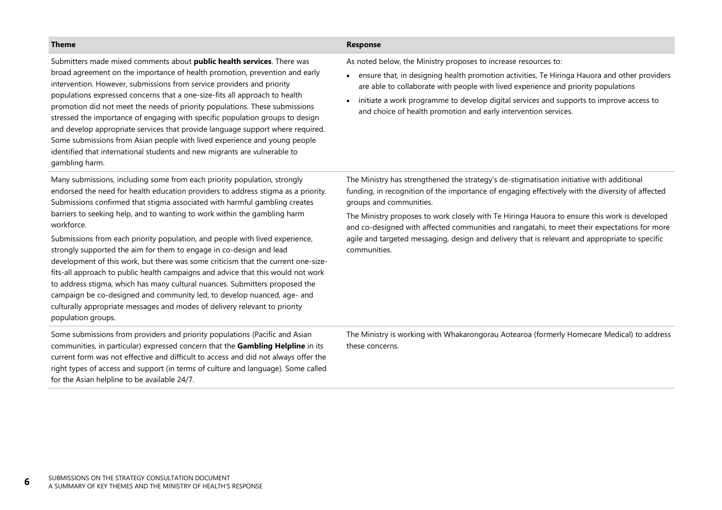| <b>Theme</b>                                                                                                                                                                                                                                                                                                                                                                                                                                                                                                                                                                                                                                                                                                                                                                                                                                                                                                                         | Response                                                                                                                                                                                                                                                                                                                                                                                                                                                                                                                                    |
|--------------------------------------------------------------------------------------------------------------------------------------------------------------------------------------------------------------------------------------------------------------------------------------------------------------------------------------------------------------------------------------------------------------------------------------------------------------------------------------------------------------------------------------------------------------------------------------------------------------------------------------------------------------------------------------------------------------------------------------------------------------------------------------------------------------------------------------------------------------------------------------------------------------------------------------|---------------------------------------------------------------------------------------------------------------------------------------------------------------------------------------------------------------------------------------------------------------------------------------------------------------------------------------------------------------------------------------------------------------------------------------------------------------------------------------------------------------------------------------------|
| Submitters made mixed comments about public health services. There was<br>broad agreement on the importance of health promotion, prevention and early<br>intervention. However, submissions from service providers and priority<br>populations expressed concerns that a one-size-fits all approach to health<br>promotion did not meet the needs of priority populations. These submissions<br>stressed the importance of engaging with specific population groups to design<br>and develop appropriate services that provide language support where required.<br>Some submissions from Asian people with lived experience and young people<br>identified that international students and new migrants are vulnerable to<br>gambling harm.                                                                                                                                                                                          | As noted below, the Ministry proposes to increase resources to:<br>ensure that, in designing health promotion activities, Te Hiringa Hauora and other providers<br>are able to collaborate with people with lived experience and priority populations<br>initiate a work programme to develop digital services and supports to improve access to<br>$\bullet$<br>and choice of health promotion and early intervention services.                                                                                                            |
| Many submissions, including some from each priority population, strongly<br>endorsed the need for health education providers to address stigma as a priority.<br>Submissions confirmed that stigma associated with harmful gambling creates<br>barriers to seeking help, and to wanting to work within the gambling harm<br>workforce.<br>Submissions from each priority population, and people with lived experience,<br>strongly supported the aim for them to engage in co-design and lead<br>development of this work, but there was some criticism that the current one-size-<br>fits-all approach to public health campaigns and advice that this would not work<br>to address stigma, which has many cultural nuances. Submitters proposed the<br>campaign be co-designed and community led, to develop nuanced, age- and<br>culturally appropriate messages and modes of delivery relevant to priority<br>population groups. | The Ministry has strengthened the strategy's de-stigmatisation initiative with additional<br>funding, in recognition of the importance of engaging effectively with the diversity of affected<br>groups and communities.<br>The Ministry proposes to work closely with Te Hiringa Hauora to ensure this work is developed<br>and co-designed with affected communities and rangatahi, to meet their expectations for more<br>agile and targeted messaging, design and delivery that is relevant and appropriate to specific<br>communities. |
| Some submissions from providers and priority populations (Pacific and Asian<br>communities, in particular) expressed concern that the Gambling Helpline in its<br>current form was not effective and difficult to access and did not always offer the<br>right types of access and support (in terms of culture and language). Some called<br>for the Asian helpline to be available 24/7.                                                                                                                                                                                                                                                                                                                                                                                                                                                                                                                                           | The Ministry is working with Whakarongorau Aotearoa (formerly Homecare Medical) to address<br>these concerns.                                                                                                                                                                                                                                                                                                                                                                                                                               |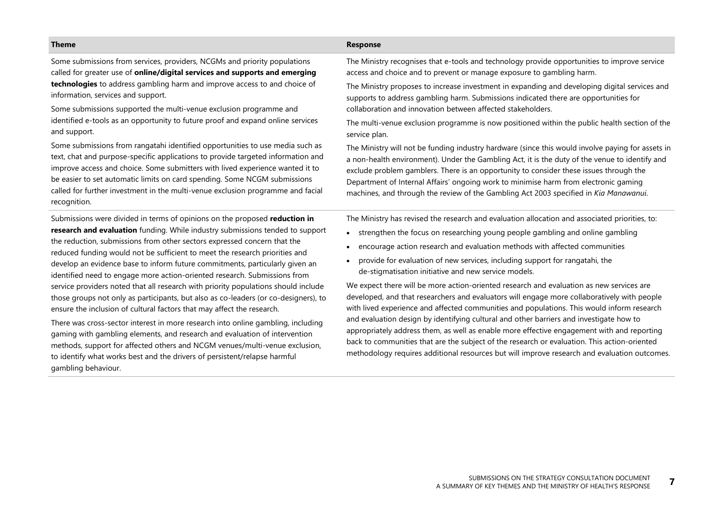Some submissions from services, providers, NCGMs and priority populations called for greater use of **online/digital services and supports and emerging technologies** to address gambling harm and improve access to and choice of information, services and support.

Some submissions supported the multi-venue exclusion programme and identified e-tools as an opportunity to future proof and expand online services and support.

Some submissions from rangatahi identified opportunities to use media such as text, chat and purpose-specific applications to provide targeted information and improve access and choice. Some submitters with lived experience wanted it to be easier to set automatic limits on card spending. Some NCGM submissions called for further investment in the multi-venue exclusion programme and facial recognition.

Submissions were divided in terms of opinions on the proposed **reduction in research and evaluation** funding. While industry submissions tended to support the reduction, submissions from other sectors expressed concern that the reduced funding would not be sufficient to meet the research priorities and develop an evidence base to inform future commitments, particularly given an identified need to engage more action-oriented research. Submissions from service providers noted that all research with priority populations should include those groups not only as participants, but also as co-leaders (or co-designers), to ensure the inclusion of cultural factors that may affect the research.

There was cross-sector interest in more research into online gambling, including gaming with gambling elements, and research and evaluation of intervention methods, support for affected others and NCGM venues/multi-venue exclusion, to identify what works best and the drivers of persistent/relapse harmful gambling behaviour.

The Ministry recognises that e-tools and technology provide opportunities to improve service access and choice and to prevent or manage exposure to gambling harm.

The Ministry proposes to increase investment in expanding and developing digital services and supports to address gambling harm. Submissions indicated there are opportunities for collaboration and innovation between affected stakeholders.

The multi-venue exclusion programme is now positioned within the public health section of the service plan.

The Ministry will not be funding industry hardware (since this would involve paying for assets in a non-health environment). Under the Gambling Act, it is the duty of the venue to identify and exclude problem gamblers. There is an opportunity to consider these issues through the Department of Internal Affairs' ongoing work to minimise harm from electronic gaming machines, and through the review of the Gambling Act 2003 specified in *Kia Manawanui*.

The Ministry has revised the research and evaluation allocation and associated priorities, to:

- strengthen the focus on researching young people gambling and online gambling
- encourage action research and evaluation methods with affected communities
- provide for evaluation of new services, including support for rangatahi, the de-stigmatisation initiative and new service models.

We expect there will be more action-oriented research and evaluation as new services are developed, and that researchers and evaluators will engage more collaboratively with people with lived experience and affected communities and populations. This would inform research and evaluation design by identifying cultural and other barriers and investigate how to appropriately address them, as well as enable more effective engagement with and reporting back to communities that are the subject of the research or evaluation. This action-oriented methodology requires additional resources but will improve research and evaluation outcomes.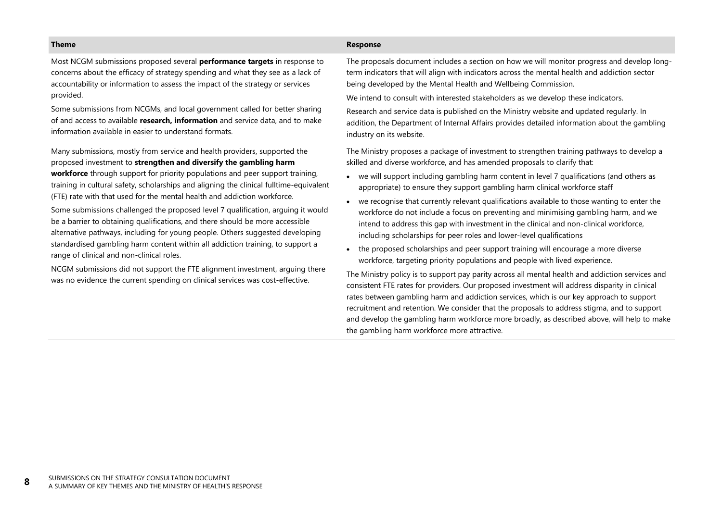| <b>Theme</b>                                                                                                                                                                                                                                                                                                                                                                                                                                                                                                                                                                | <b>Response</b>                                                                                                                                                                                                                                                                                                                                                                                                                                                                                                                                                                                                                     |
|-----------------------------------------------------------------------------------------------------------------------------------------------------------------------------------------------------------------------------------------------------------------------------------------------------------------------------------------------------------------------------------------------------------------------------------------------------------------------------------------------------------------------------------------------------------------------------|-------------------------------------------------------------------------------------------------------------------------------------------------------------------------------------------------------------------------------------------------------------------------------------------------------------------------------------------------------------------------------------------------------------------------------------------------------------------------------------------------------------------------------------------------------------------------------------------------------------------------------------|
| Most NCGM submissions proposed several <b>performance targets</b> in response to<br>concerns about the efficacy of strategy spending and what they see as a lack of<br>accountability or information to assess the impact of the strategy or services<br>provided.                                                                                                                                                                                                                                                                                                          | The proposals document includes a section on how we will monitor progress and develop long-<br>term indicators that will align with indicators across the mental health and addiction sector<br>being developed by the Mental Health and Wellbeing Commission.                                                                                                                                                                                                                                                                                                                                                                      |
|                                                                                                                                                                                                                                                                                                                                                                                                                                                                                                                                                                             | We intend to consult with interested stakeholders as we develop these indicators.                                                                                                                                                                                                                                                                                                                                                                                                                                                                                                                                                   |
| Some submissions from NCGMs, and local government called for better sharing<br>of and access to available research, information and service data, and to make<br>information available in easier to understand formats.                                                                                                                                                                                                                                                                                                                                                     | Research and service data is published on the Ministry website and updated regularly. In<br>addition, the Department of Internal Affairs provides detailed information about the gambling<br>industry on its website.                                                                                                                                                                                                                                                                                                                                                                                                               |
| Many submissions, mostly from service and health providers, supported the<br>proposed investment to strengthen and diversify the gambling harm<br>workforce through support for priority populations and peer support training,<br>training in cultural safety, scholarships and aligning the clinical fulltime-equivalent<br>(FTE) rate with that used for the mental health and addiction workforce.<br>Some submissions challenged the proposed level 7 qualification, arguing it would<br>be a barrier to obtaining qualifications, and there should be more accessible | The Ministry proposes a package of investment to strengthen training pathways to develop a<br>skilled and diverse workforce, and has amended proposals to clarify that:<br>• we will support including gambling harm content in level 7 qualifications (and others as<br>appropriate) to ensure they support gambling harm clinical workforce staff<br>we recognise that currently relevant qualifications available to those wanting to enter the<br>workforce do not include a focus on preventing and minimising gambling harm, and we<br>intend to address this gap with investment in the clinical and non-clinical workforce, |
| alternative pathways, including for young people. Others suggested developing<br>standardised gambling harm content within all addiction training, to support a                                                                                                                                                                                                                                                                                                                                                                                                             | including scholarships for peer roles and lower-level qualifications<br>المحسور بالمرجوح والمسترين والمستحدث والأرزان والمتاريخ السام ويستريم ومحامله والمستراح والمستحل والمستحدث والمستحلة                                                                                                                                                                                                                                                                                                                                                                                                                                        |

• the proposed scholarships and peer support training will encourage a more diverse workforce, targeting priority populations and people with lived experience.

The Ministry policy is to support pay parity across all mental health and addiction services and consistent FTE rates for providers. Our proposed investment will address disparity in clinical rates between gambling harm and addiction services, which is our key approach to support recruitment and retention. We consider that the proposals to address stigma, and to support and develop the gambling harm workforce more broadly, as described above, will help to make the gambling harm workforce more attractive.

range of clinical and non-clinical roles.

NCGM submissions did not support the FTE alignment investment, arguing there was no evidence the current spending on clinical services was cost-effective.

**8**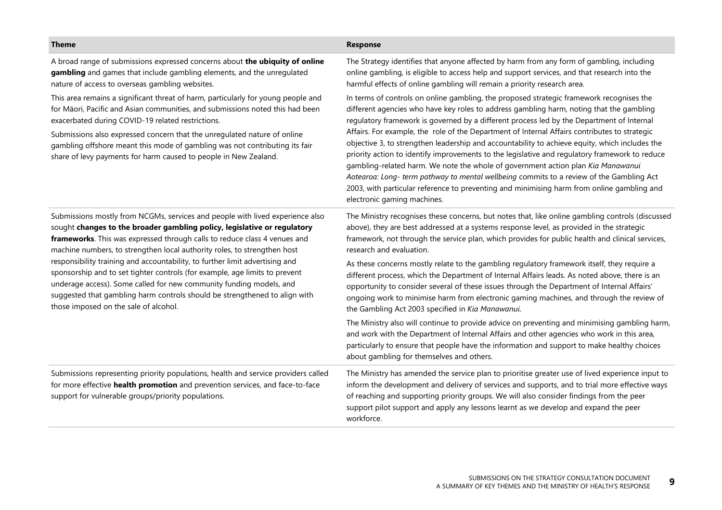| <b>Theme</b>                                                                                                                                                                                                                                                                                                                                                                                                                                                                                                                                                                                                                                                                    | Response                                                                                                                                                                                                                                                                                                                                                                                                                                                                                                                                                                                                                                                                                                                                                                                                                                                                                            |
|---------------------------------------------------------------------------------------------------------------------------------------------------------------------------------------------------------------------------------------------------------------------------------------------------------------------------------------------------------------------------------------------------------------------------------------------------------------------------------------------------------------------------------------------------------------------------------------------------------------------------------------------------------------------------------|-----------------------------------------------------------------------------------------------------------------------------------------------------------------------------------------------------------------------------------------------------------------------------------------------------------------------------------------------------------------------------------------------------------------------------------------------------------------------------------------------------------------------------------------------------------------------------------------------------------------------------------------------------------------------------------------------------------------------------------------------------------------------------------------------------------------------------------------------------------------------------------------------------|
| A broad range of submissions expressed concerns about the ubiquity of online<br>gambling and games that include gambling elements, and the unregulated<br>nature of access to overseas gambling websites.                                                                                                                                                                                                                                                                                                                                                                                                                                                                       | The Strategy identifies that anyone affected by harm from any form of gambling, including<br>online gambling, is eligible to access help and support services, and that research into the<br>harmful effects of online gambling will remain a priority research area.                                                                                                                                                                                                                                                                                                                                                                                                                                                                                                                                                                                                                               |
| This area remains a significant threat of harm, particularly for young people and<br>for Māori, Pacific and Asian communities, and submissions noted this had been<br>exacerbated during COVID-19 related restrictions.<br>Submissions also expressed concern that the unregulated nature of online<br>gambling offshore meant this mode of gambling was not contributing its fair<br>share of levy payments for harm caused to people in New Zealand.                                                                                                                                                                                                                          | In terms of controls on online gambling, the proposed strategic framework recognises the<br>different agencies who have key roles to address gambling harm, noting that the gambling<br>regulatory framework is governed by a different process led by the Department of Internal<br>Affairs. For example, the role of the Department of Internal Affairs contributes to strategic<br>objective 3, to strengthen leadership and accountability to achieve equity, which includes the<br>priority action to identify improvements to the legislative and regulatory framework to reduce<br>gambling-related harm. We note the whole of government action plan Kia Manawanui<br>Aotearoa: Long- term pathway to mental wellbeing commits to a review of the Gambling Act<br>2003, with particular reference to preventing and minimising harm from online gambling and<br>electronic gaming machines. |
| Submissions mostly from NCGMs, services and people with lived experience also<br>sought changes to the broader gambling policy, legislative or regulatory<br>frameworks. This was expressed through calls to reduce class 4 venues and<br>machine numbers, to strengthen local authority roles, to strengthen host<br>responsibility training and accountability, to further limit advertising and<br>sponsorship and to set tighter controls (for example, age limits to prevent<br>underage access). Some called for new community funding models, and<br>suggested that gambling harm controls should be strengthened to align with<br>those imposed on the sale of alcohol. | The Ministry recognises these concerns, but notes that, like online gambling controls (discussed<br>above), they are best addressed at a systems response level, as provided in the strategic<br>framework, not through the service plan, which provides for public health and clinical services,<br>research and evaluation.                                                                                                                                                                                                                                                                                                                                                                                                                                                                                                                                                                       |
|                                                                                                                                                                                                                                                                                                                                                                                                                                                                                                                                                                                                                                                                                 | As these concerns mostly relate to the gambling regulatory framework itself, they require a<br>different process, which the Department of Internal Affairs leads. As noted above, there is an<br>opportunity to consider several of these issues through the Department of Internal Affairs'<br>ongoing work to minimise harm from electronic gaming machines, and through the review of<br>the Gambling Act 2003 specified in Kia Manawanui.                                                                                                                                                                                                                                                                                                                                                                                                                                                       |
|                                                                                                                                                                                                                                                                                                                                                                                                                                                                                                                                                                                                                                                                                 | The Ministry also will continue to provide advice on preventing and minimising gambling harm,<br>and work with the Department of Internal Affairs and other agencies who work in this area,<br>particularly to ensure that people have the information and support to make healthy choices<br>about gambling for themselves and others.                                                                                                                                                                                                                                                                                                                                                                                                                                                                                                                                                             |
| Submissions representing priority populations, health and service providers called<br>for more effective health promotion and prevention services, and face-to-face<br>support for vulnerable groups/priority populations.                                                                                                                                                                                                                                                                                                                                                                                                                                                      | The Ministry has amended the service plan to prioritise greater use of lived experience input to<br>inform the development and delivery of services and supports, and to trial more effective ways<br>of reaching and supporting priority groups. We will also consider findings from the peer<br>support pilot support and apply any lessons learnt as we develop and expand the peer<br>workforce.                                                                                                                                                                                                                                                                                                                                                                                                                                                                                                |